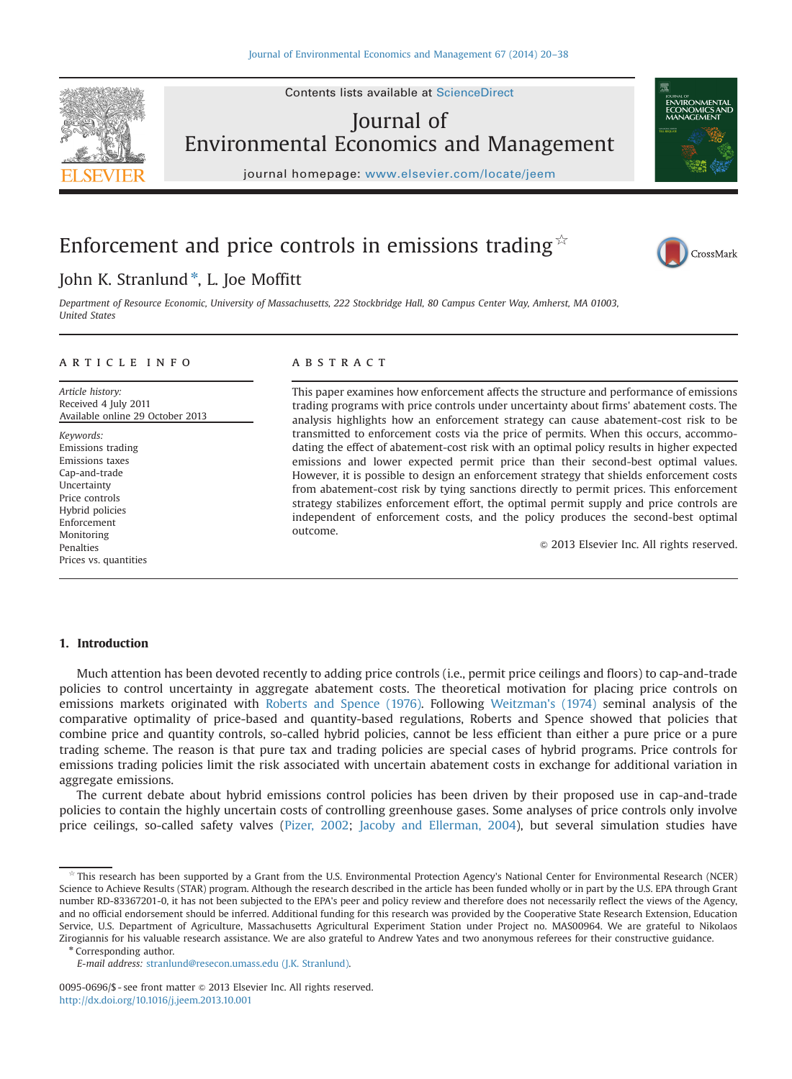

## Journal of Environmental Economics and Management

journal homepage: <www.elsevier.com/locate/jeem>/locate/jeem/locate/jeem/locate/jeem/locate/jeem/locate/jeem/locate/jeem/locate/jeem/locate/jeem/locate/jeem/locate/jeem/locate/jeem/locate/jeem/locate/jeem/locate/jeem/locate

# Enforcement and price controls in emissions trading  $\dot{x}$

### John K. Stranlund<sup>\*</sup>, L. Joe Moffitt

Department of Resource Economic, University of Massachusetts, 222 Stockbridge Hall, 80 Campus Center Way, Amherst, MA 01003, United States

#### article info

Article history: Received 4 July 2011 Available online 29 October 2013

Keywords: Emissions trading Emissions taxes Cap-and-trade Uncertainty Price controls Hybrid policies Enforcement Monitoring Penalties Prices vs. quantities

#### **ABSTRACT**

This paper examines how enforcement affects the structure and performance of emissions trading programs with price controls under uncertainty about firms' abatement costs. The analysis highlights how an enforcement strategy can cause abatement-cost risk to be transmitted to enforcement costs via the price of permits. When this occurs, accommodating the effect of abatement-cost risk with an optimal policy results in higher expected emissions and lower expected permit price than their second-best optimal values. However, it is possible to design an enforcement strategy that shields enforcement costs from abatement-cost risk by tying sanctions directly to permit prices. This enforcement strategy stabilizes enforcement effort, the optimal permit supply and price controls are independent of enforcement costs, and the policy produces the second-best optimal outcome.

 $\odot$  2013 Elsevier Inc. All rights reserved.

#### 1. Introduction

Much attention has been devoted recently to adding price controls (i.e., permit price ceilings and floors) to cap-and-trade policies to control uncertainty in aggregate abatement costs. The theoretical motivation for placing price controls on emissions markets originated with [Roberts and Spence \(1976\).](#page--1-0) Following [Weitzman's \(1974\)](#page--1-0) seminal analysis of the comparative optimality of price-based and quantity-based regulations, Roberts and Spence showed that policies that combine price and quantity controls, so-called hybrid policies, cannot be less efficient than either a pure price or a pure trading scheme. The reason is that pure tax and trading policies are special cases of hybrid programs. Price controls for emissions trading policies limit the risk associated with uncertain abatement costs in exchange for additional variation in aggregate emissions.

The current debate about hybrid emissions control policies has been driven by their proposed use in cap-and-trade policies to contain the highly uncertain costs of controlling greenhouse gases. Some analyses of price controls only involve price ceilings, so-called safety valves ([Pizer, 2002;](#page--1-0) [Jacoby and Ellerman, 2004\)](#page--1-0), but several simulation studies have



CrossMark

<sup>☆</sup> This research has been supported by a Grant from the U.S. Environmental Protection Agency's National Center for Environmental Research (NCER) Science to Achieve Results (STAR) program. Although the research described in the article has been funded wholly or in part by the U.S. EPA through Grant number RD-83367201-0, it has not been subjected to the EPA's peer and policy review and therefore does not necessarily reflect the views of the Agency, and no official endorsement should be inferred. Additional funding for this research was provided by the Cooperative State Research Extension, Education Service, U.S. Department of Agriculture, Massachusetts Agricultural Experiment Station under Project no. MAS00964. We are grateful to Nikolaos Zirogiannis for his valuable research assistance. We are also grateful to Andrew Yates and two anonymous referees for their constructive guidance.

<sup>\*</sup> Corresponding author.

E-mail address: [stranlund@resecon.umass.edu \(J.K. Stranlund\).](mailto:stranlund@resecon.umass.edu)

<sup>0095-0696/\$ -</sup> see front matter  $\odot$  2013 Elsevier Inc. All rights reserved. <http://dx.doi.org/10.1016/j.jeem.2013.10.001>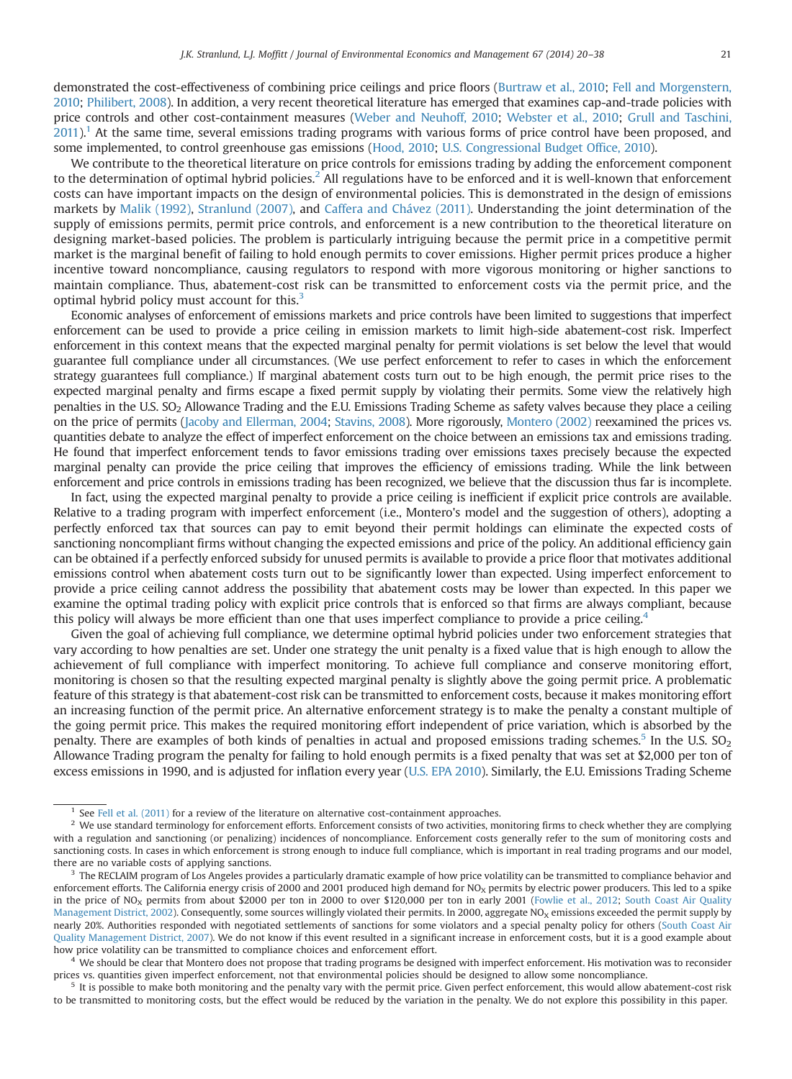demonstrated the cost-effectiveness of combining price ceilings and price floors ([Burtraw et al., 2010;](#page--1-0) [Fell and Morgenstern,](#page--1-0) [2010;](#page--1-0) [Philibert, 2008\)](#page--1-0). In addition, a very recent theoretical literature has emerged that examines cap-and-trade policies with price controls and other cost-containment measures ([Weber and Neuhoff, 2010](#page--1-0); [Webster et al., 2010](#page--1-0); [Grull and Taschini,](#page--1-0)  $2011$ ).<sup>1</sup> At the same time, several emissions trading programs with various forms of price control have been proposed, and some implemented, to control greenhouse gas emissions [\(Hood, 2010;](#page--1-0) [U.S. Congressional Budget Office, 2010](#page--1-0)).

We contribute to the theoretical literature on price controls for emissions trading by adding the enforcement component to the determination of optimal hybrid policies.<sup>2</sup> All regulations have to be enforced and it is well-known that enforcement costs can have important impacts on the design of environmental policies. This is demonstrated in the design of emissions markets by [Malik \(1992\)](#page--1-0), [Stranlund \(2007\)](#page--1-0), and [Caffera and Chávez \(2011\).](#page--1-0) Understanding the joint determination of the supply of emissions permits, permit price controls, and enforcement is a new contribution to the theoretical literature on designing market-based policies. The problem is particularly intriguing because the permit price in a competitive permit market is the marginal benefit of failing to hold enough permits to cover emissions. Higher permit prices produce a higher incentive toward noncompliance, causing regulators to respond with more vigorous monitoring or higher sanctions to maintain compliance. Thus, abatement-cost risk can be transmitted to enforcement costs via the permit price, and the optimal hybrid policy must account for this.<sup>3</sup>

Economic analyses of enforcement of emissions markets and price controls have been limited to suggestions that imperfect enforcement can be used to provide a price ceiling in emission markets to limit high-side abatement-cost risk. Imperfect enforcement in this context means that the expected marginal penalty for permit violations is set below the level that would guarantee full compliance under all circumstances. (We use perfect enforcement to refer to cases in which the enforcement strategy guarantees full compliance.) If marginal abatement costs turn out to be high enough, the permit price rises to the expected marginal penalty and firms escape a fixed permit supply by violating their permits. Some view the relatively high penalties in the U.S. SO<sub>2</sub> Allowance Trading and the E.U. Emissions Trading Scheme as safety valves because they place a ceiling on the price of permits [\(Jacoby and Ellerman, 2004;](#page--1-0) [Stavins, 2008\)](#page--1-0). More rigorously, [Montero \(2002\)](#page--1-0) reexamined the prices vs. quantities debate to analyze the effect of imperfect enforcement on the choice between an emissions tax and emissions trading. He found that imperfect enforcement tends to favor emissions trading over emissions taxes precisely because the expected marginal penalty can provide the price ceiling that improves the efficiency of emissions trading. While the link between enforcement and price controls in emissions trading has been recognized, we believe that the discussion thus far is incomplete.

In fact, using the expected marginal penalty to provide a price ceiling is inefficient if explicit price controls are available. Relative to a trading program with imperfect enforcement (i.e., Montero's model and the suggestion of others), adopting a perfectly enforced tax that sources can pay to emit beyond their permit holdings can eliminate the expected costs of sanctioning noncompliant firms without changing the expected emissions and price of the policy. An additional efficiency gain can be obtained if a perfectly enforced subsidy for unused permits is available to provide a price floor that motivates additional emissions control when abatement costs turn out to be significantly lower than expected. Using imperfect enforcement to provide a price ceiling cannot address the possibility that abatement costs may be lower than expected. In this paper we examine the optimal trading policy with explicit price controls that is enforced so that firms are always compliant, because this policy will always be more efficient than one that uses imperfect compliance to provide a price ceiling.4

Given the goal of achieving full compliance, we determine optimal hybrid policies under two enforcement strategies that vary according to how penalties are set. Under one strategy the unit penalty is a fixed value that is high enough to allow the achievement of full compliance with imperfect monitoring. To achieve full compliance and conserve monitoring effort, monitoring is chosen so that the resulting expected marginal penalty is slightly above the going permit price. A problematic feature of this strategy is that abatement-cost risk can be transmitted to enforcement costs, because it makes monitoring effort an increasing function of the permit price. An alternative enforcement strategy is to make the penalty a constant multiple of the going permit price. This makes the required monitoring effort independent of price variation, which is absorbed by the penalty. There are examples of both kinds of penalties in actual and proposed emissions trading schemes.<sup>5</sup> In the U.S. SO<sub>2</sub> Allowance Trading program the penalty for failing to hold enough permits is a fixed penalty that was set at \$2,000 per ton of excess emissions in 1990, and is adjusted for inflation every year [\(U.S. EPA 2010\)](#page--1-0). Similarly, the E.U. Emissions Trading Scheme

<sup>5</sup> It is possible to make both monitoring and the penalty vary with the permit price. Given perfect enforcement, this would allow abatement-cost risk to be transmitted to monitoring costs, but the effect would be reduced by the variation in the penalty. We do not explore this possibility in this paper.

See [Fell et al. \(2011\)](#page--1-0) for a review of the literature on alternative cost-containment approaches.

<sup>&</sup>lt;sup>2</sup> We use standard terminology for enforcement efforts. Enforcement consists of two activities, monitoring firms to check whether they are complying with a regulation and sanctioning (or penalizing) incidences of noncompliance. Enforcement costs generally refer to the sum of monitoring costs and sanctioning costs. In cases in which enforcement is strong enough to induce full compliance, which is important in real trading programs and our model, there are no variable costs of applying sanctions.

<sup>&</sup>lt;sup>3</sup> The RECLAIM program of Los Angeles provides a particularly dramatic example of how price volatility can be transmitted to compliance behavior and enforcement efforts. The California energy crisis of 2000 and 2001 produced high demand for NO<sub>x</sub> permits by electric power producers. This led to a spike in the price of NO<sub>X</sub> permits from about \$2000 per ton in 2000 to over \$120,000 per ton in early 2001 ([Fowlie et al., 2012;](#page--1-0) [South Coast Air Quality](#page--1-0) [Management District, 2002\)](#page--1-0). Consequently, some sources willingly violated their permits. In 2000, aggregate  $NO<sub>X</sub>$  emissions exceeded the permit supply by nearly 20%. Authorities responded with negotiated settlements of sanctions for some violators and a special penalty policy for others [\(South Coast Air](#page--1-0) [Quality Management District, 2007\)](#page--1-0). We do not know if this event resulted in a significant increase in enforcement costs, but it is a good example about how price volatility can be transmitted to compliance choices and enforcement effort.

<sup>&</sup>lt;sup>4</sup> We should be clear that Montero does not propose that trading programs be designed with imperfect enforcement. His motivation was to reconsider prices vs. quantities given imperfect enforcement, not that environmental policies should be designed to allow some noncompliance.